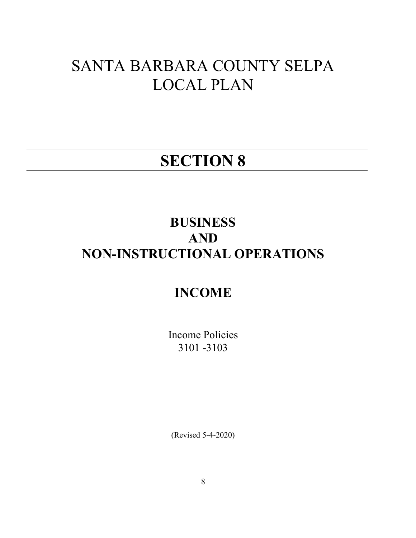# SANTA BARBARA COUNTY SELPA LOCAL PLAN

## SECTION 8

## BUSINESS AND NON-INSTRUCTIONAL OPERATIONS

### INCOME

Income Policies 3101 -3103

(Revised 5-4-2020)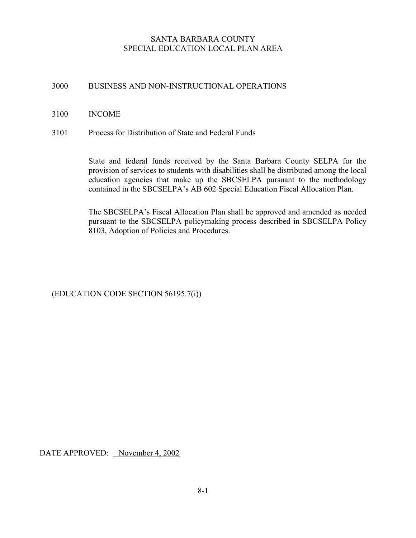#### SANTA BARBARA COUNTY SPECIAL EDUCATION LOCAL PLAN AREA

#### 3000 BUSINESS AND NON-INSTRUCTIONAL OPERATIONS

#### 3100 INCOME

3101 Process for Distribution of State and Federal Funds

State and federal funds received by the Santa Barbara County SELPA for the provision of services to students with disabilities shall be distributed among the local education agencies that make up the SBCSELPA pursuant to the methodology contained in the SBCSELPA's AB 602 Special Education Fiscal Allocation Plan.

The SBCSELPA's Fiscal Allocation Plan shall be approved and amended as needed pursuant to the SBCSELPA policymaking process described in SBCSELPA Policy 8103, Adoption of Policies and Procedures.

(EDUCATION CODE SECTION 56195.7(i))

DATE APPROVED: November 4, 2002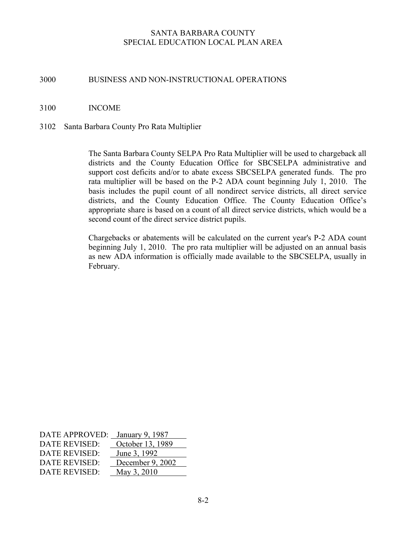#### SANTA BARBARA COUNTY SPECIAL EDUCATION LOCAL PLAN AREA

#### 3000 BUSINESS AND NON-INSTRUCTIONAL OPERATIONS

#### 3100 INCOME

#### 3102 Santa Barbara County Pro Rata Multiplier

The Santa Barbara County SELPA Pro Rata Multiplier will be used to chargeback all districts and the County Education Office for SBCSELPA administrative and support cost deficits and/or to abate excess SBCSELPA generated funds. The pro rata multiplier will be based on the P-2 ADA count beginning July 1, 2010. The basis includes the pupil count of all nondirect service districts, all direct service districts, and the County Education Office. The County Education Office's appropriate share is based on a count of all direct service districts, which would be a second count of the direct service district pupils.

Chargebacks or abatements will be calculated on the current year's P-2 ADA count beginning July 1, 2010. The pro rata multiplier will be adjusted on an annual basis as new ADA information is officially made available to the SBCSELPA, usually in February.

| DATE APPROVED: January 9, 1987 |                  |
|--------------------------------|------------------|
| DATE REVISED:                  | October 13, 1989 |
| DATE REVISED:                  | June 3, 1992     |
| DATE REVISED:                  | December 9, 2002 |
| DATE REVISED:                  | May 3, 2010      |